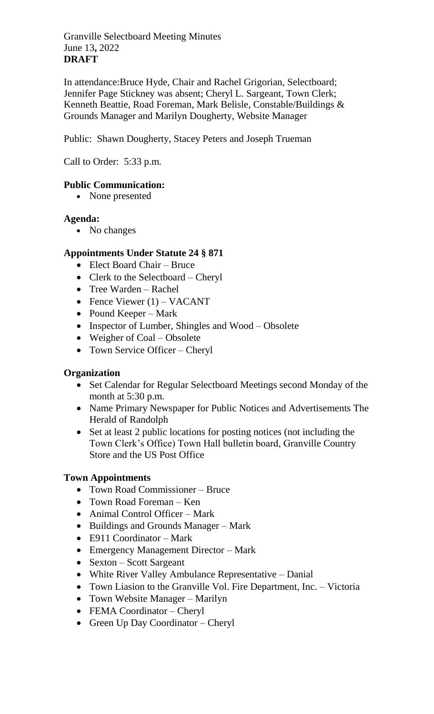Granville Selectboard Meeting Minutes June 13**,** 2022 **DRAFT**

In attendance:Bruce Hyde, Chair and Rachel Grigorian, Selectboard; Jennifer Page Stickney was absent; Cheryl L. Sargeant, Town Clerk; Kenneth Beattie, Road Foreman, Mark Belisle, Constable/Buildings & Grounds Manager and Marilyn Dougherty, Website Manager

Public: Shawn Dougherty, Stacey Peters and Joseph Trueman

Call to Order: 5:33 p.m.

# **Public Communication:**

• None presented

# **Agenda:**

• No changes

# **Appointments Under Statute 24 § 871**

- Elect Board Chair Bruce
- Clerk to the Selectboard Cheryl
- Tree Warden Rachel
- Fence Viewer  $(1)$  VACANT
- Pound Keeper Mark
- Inspector of Lumber, Shingles and Wood Obsolete
- Weigher of Coal Obsolete
- Town Service Officer Cheryl

#### **Organization**

- Set Calendar for Regular Selectboard Meetings second Monday of the month at 5:30 p.m.
- Name Primary Newspaper for Public Notices and Advertisements The Herald of Randolph
- Set at least 2 public locations for posting notices (not including the Town Clerk's Office) Town Hall bulletin board, Granville Country Store and the US Post Office

#### **Town Appointments**

- Town Road Commissioner Bruce
- Town Road Foreman Ken
- Animal Control Officer Mark
- Buildings and Grounds Manager Mark
- E911 Coordinator Mark
- Emergency Management Director Mark
- Sexton Scott Sargeant
- White River Valley Ambulance Representative Danial
- Town Liasion to the Granville Vol. Fire Department, Inc. Victoria
- Town Website Manager Marilyn
- FEMA Coordinator Cheryl
- Green Up Day Coordinator Cheryl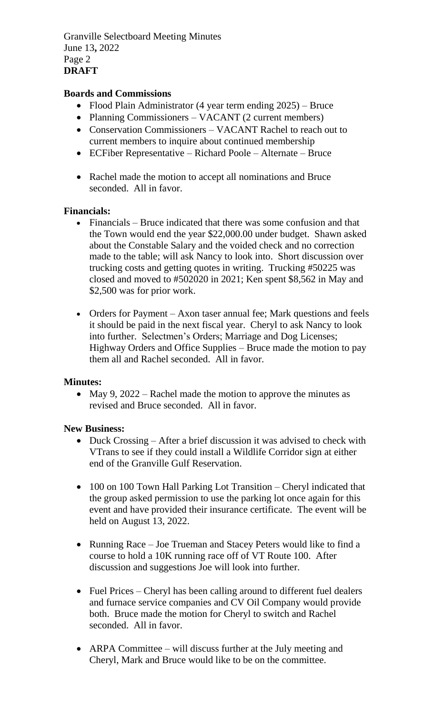Granville Selectboard Meeting Minutes June 13**,** 2022 Page 2 **DRAFT**

## **Boards and Commissions**

- Flood Plain Administrator (4 year term ending 2025) Bruce
- Planning Commissioners VACANT (2 current members)
- Conservation Commissioners VACANT Rachel to reach out to current members to inquire about continued membership
- ECFiber Representative Richard Poole Alternate Bruce
- Rachel made the motion to accept all nominations and Bruce seconded. All in favor.

#### **Financials:**

- Financials Bruce indicated that there was some confusion and that the Town would end the year \$22,000.00 under budget. Shawn asked about the Constable Salary and the voided check and no correction made to the table; will ask Nancy to look into. Short discussion over trucking costs and getting quotes in writing. Trucking #50225 was closed and moved to #502020 in 2021; Ken spent \$8,562 in May and \$2,500 was for prior work.
- Orders for Payment Axon taser annual fee; Mark questions and feels it should be paid in the next fiscal year. Cheryl to ask Nancy to look into further. Selectmen's Orders; Marriage and Dog Licenses; Highway Orders and Office Supplies – Bruce made the motion to pay them all and Rachel seconded. All in favor.

#### **Minutes:**

• May 9, 2022 – Rachel made the motion to approve the minutes as revised and Bruce seconded. All in favor.

#### **New Business:**

- Duck Crossing After a brief discussion it was advised to check with VTrans to see if they could install a Wildlife Corridor sign at either end of the Granville Gulf Reservation.
- 100 on 100 Town Hall Parking Lot Transition Cheryl indicated that the group asked permission to use the parking lot once again for this event and have provided their insurance certificate. The event will be held on August 13, 2022.
- Running Race Joe Trueman and Stacey Peters would like to find a course to hold a 10K running race off of VT Route 100. After discussion and suggestions Joe will look into further.
- Fuel Prices Cheryl has been calling around to different fuel dealers and furnace service companies and CV Oil Company would provide both. Bruce made the motion for Cheryl to switch and Rachel seconded. All in favor.
- ARPA Committee will discuss further at the July meeting and Cheryl, Mark and Bruce would like to be on the committee.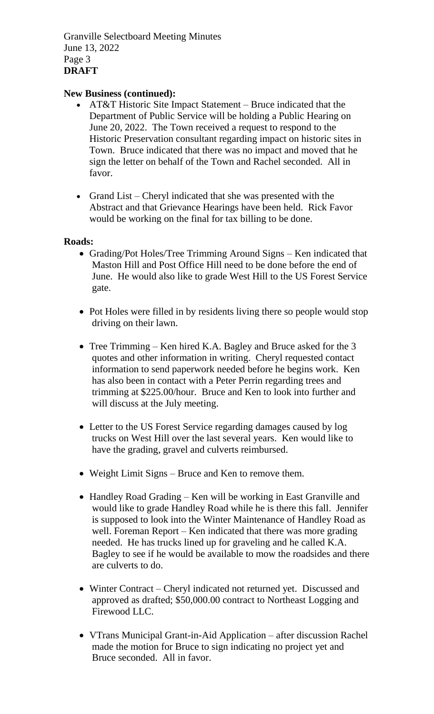Granville Selectboard Meeting Minutes June 13, 2022 Page 3 **DRAFT**

## **New Business (continued):**

- AT&T Historic Site Impact Statement Bruce indicated that the Department of Public Service will be holding a Public Hearing on June 20, 2022. The Town received a request to respond to the Historic Preservation consultant regarding impact on historic sites in Town. Bruce indicated that there was no impact and moved that he sign the letter on behalf of the Town and Rachel seconded. All in favor.
- Grand List Cheryl indicated that she was presented with the Abstract and that Grievance Hearings have been held. Rick Favor would be working on the final for tax billing to be done.

#### **Roads:**

- Grading/Pot Holes/Tree Trimming Around Signs Ken indicated that Maston Hill and Post Office Hill need to be done before the end of June. He would also like to grade West Hill to the US Forest Service gate.
- Pot Holes were filled in by residents living there so people would stop driving on their lawn.
- Tree Trimming Ken hired K.A. Bagley and Bruce asked for the 3 quotes and other information in writing. Cheryl requested contact information to send paperwork needed before he begins work. Ken has also been in contact with a Peter Perrin regarding trees and trimming at \$225.00/hour. Bruce and Ken to look into further and will discuss at the July meeting.
- Letter to the US Forest Service regarding damages caused by log trucks on West Hill over the last several years. Ken would like to have the grading, gravel and culverts reimbursed.
- Weight Limit Signs Bruce and Ken to remove them.
- Handley Road Grading Ken will be working in East Granville and would like to grade Handley Road while he is there this fall. Jennifer is supposed to look into the Winter Maintenance of Handley Road as well. Foreman Report – Ken indicated that there was more grading needed. He has trucks lined up for graveling and he called K.A. Bagley to see if he would be available to mow the roadsides and there are culverts to do.
- Winter Contract Cheryl indicated not returned yet. Discussed and approved as drafted; \$50,000.00 contract to Northeast Logging and Firewood LLC.
- VTrans Municipal Grant-in-Aid Application after discussion Rachel made the motion for Bruce to sign indicating no project yet and Bruce seconded. All in favor.